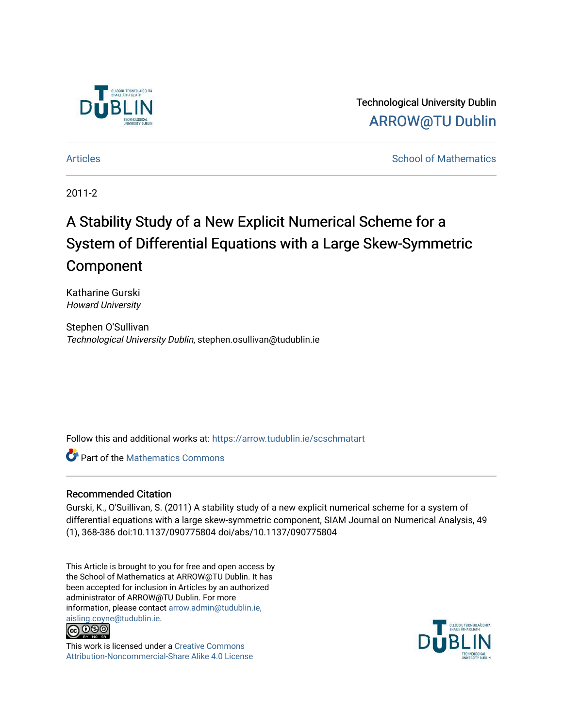

Technological University Dublin [ARROW@TU Dublin](https://arrow.tudublin.ie/) 

[Articles](https://arrow.tudublin.ie/scschmatart) **School of Mathematics** [School of Mathematics](https://arrow.tudublin.ie/scschmat) **School of Mathematics** 

2011-2

# A Stability Study of a New Explicit Numerical Scheme for a System of Differential Equations with a Large Skew-Symmetric Component

Katharine Gurski Howard University

Stephen O'Sullivan Technological University Dublin, stephen.osullivan@tudublin.ie

Follow this and additional works at: [https://arrow.tudublin.ie/scschmatart](https://arrow.tudublin.ie/scschmatart?utm_source=arrow.tudublin.ie%2Fscschmatart%2F159&utm_medium=PDF&utm_campaign=PDFCoverPages)

**Part of the [Mathematics Commons](http://network.bepress.com/hgg/discipline/174?utm_source=arrow.tudublin.ie%2Fscschmatart%2F159&utm_medium=PDF&utm_campaign=PDFCoverPages)** 

# Recommended Citation

Gurski, K., O'Suillivan, S. (2011) A stability study of a new explicit numerical scheme for a system of differential equations with a large skew-symmetric component, SIAM Journal on Numerical Analysis, 49 (1), 368-386 doi:10.1137/090775804 doi/abs/10.1137/090775804

This Article is brought to you for free and open access by the School of Mathematics at ARROW@TU Dublin. It has been accepted for inclusion in Articles by an authorized administrator of ARROW@TU Dublin. For more information, please contact [arrow.admin@tudublin.ie,](mailto:arrow.admin@tudublin.ie,%20aisling.coyne@tudublin.ie)  [aisling.coyne@tudublin.ie.](mailto:arrow.admin@tudublin.ie,%20aisling.coyne@tudublin.ie)<br>@009



This work is licensed under a [Creative Commons](http://creativecommons.org/licenses/by-nc-sa/4.0/) [Attribution-Noncommercial-Share Alike 4.0 License](http://creativecommons.org/licenses/by-nc-sa/4.0/)

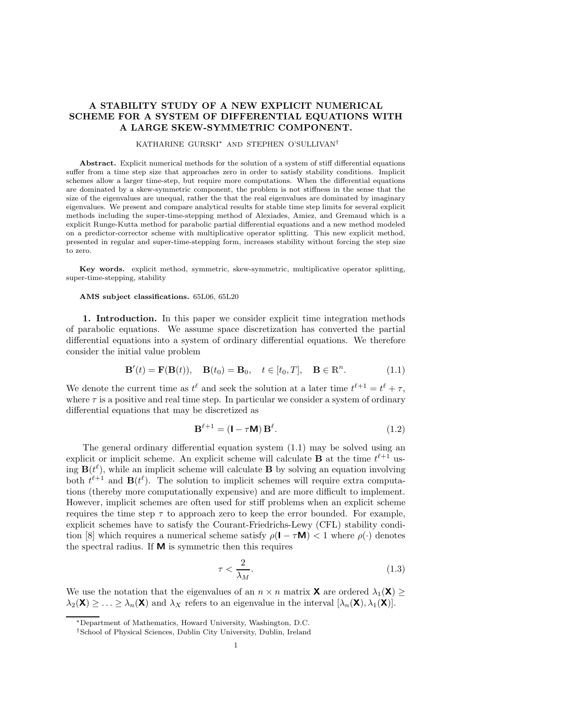# **A STABILITY STUDY OF A NEW EXPLICIT NUMERICAL SCHEME FOR A SYSTEM OF DIFFERENTIAL EQUATIONS WITH A LARGE SKEW-SYMMETRIC COMPONENT.**

## KATHARINE GURSKI∗ AND STEPHEN O'SULLIVAN†

**Abstract.** Explicit numerical methods for the solution of a system of stiff differential equations suffer from a time step size that approaches zero in order to satisfy stability conditions. Implicit schemes allow a larger time-step, but require more computations. When the differential equations are dominated by a skew-symmetric component, the problem is not stiffness in the sense that the size of the eigenvalues are unequal, rather the that the real eigenvalues are dominated by imaginary eigenvalues. We present and compare analytical results for stable time step limits for several explicit methods including the super-time-stepping method of Alexiades, Amiez, and Gremaud which is a explicit Runge-Kutta method for parabolic partial differential equations and a new method modeled on a predictor-corrector scheme with multiplicative operator splitting. This new explicit method, presented in regular and super-time-stepping form, increases stability without forcing the step size to zero.

**Key words.** explicit method, symmetric, skew-symmetric, multiplicative operator splitting, super-time-stepping, stability

### **AMS subject classifications.** 65L06, 65L20

**1. Introduction.** In this paper we consider explicit time integration methods of parabolic equations. We assume space discretization has converted the partial differential equations into a system of ordinary differential equations. We therefore consider the initial value problem

$$
\mathbf{B}'(t) = \mathbf{F}(\mathbf{B}(t)), \quad \mathbf{B}(t_0) = \mathbf{B}_0, \quad t \in [t_0, T], \quad \mathbf{B} \in \mathbb{R}^n.
$$
 (1.1)

We denote the current time as  $t^{\ell}$  and seek the solution at a later time  $t^{\ell+1} = t^{\ell} + \tau$ , where  $\tau$  is a positive and real time step. In particular we consider a system of ordinary differential equations that may be discretized as

$$
\mathbf{B}^{\ell+1} = (\mathbf{I} - \tau \mathbf{M}) \mathbf{B}^{\ell}.
$$
 (1.2)

The general ordinary differential equation system (1.1) may be solved using an explicit or implicit scheme. An explicit scheme will calculate **B** at the time  $t^{\ell+1}$  using  $\mathbf{B}(t^{\ell})$ , while an implicit scheme will calculate **B** by solving an equation involving both  $t^{\ell+1}$  and  $\mathbf{B}(t^{\ell})$ . The solution to implicit schemes will require extra computations (thereby more computationally expensive) and are more difficult to implement. However, implicit schemes are often used for stiff problems when an explicit scheme requires the time step  $\tau$  to approach zero to keep the error bounded. For example, explicit schemes have to satisfy the Courant-Friedrichs-Lewy (CFL) stability condition [8] which requires a numerical scheme satisfy  $\rho(\mathbf{I} - \tau \mathbf{M}) < 1$  where  $\rho(\cdot)$  denotes the spectral radius. If **M** is symmetric then this requires

$$
\tau < \frac{2}{\lambda_M}.\tag{1.3}
$$

We use the notation that the eigenvalues of an  $n \times n$  matrix **X** are ordered  $\lambda_1(\mathbf{X}) \geq$  $\lambda_2(\mathbf{X}) \geq \ldots \geq \lambda_n(\mathbf{X})$  and  $\lambda_X$  refers to an eigenvalue in the interval  $[\lambda_n(\mathbf{X}), \lambda_1(\mathbf{X})]$ .

<sup>∗</sup>Department of Mathematics, Howard University, Washington, D.C.

<sup>†</sup>School of Physical Sciences, Dublin City University, Dublin, Ireland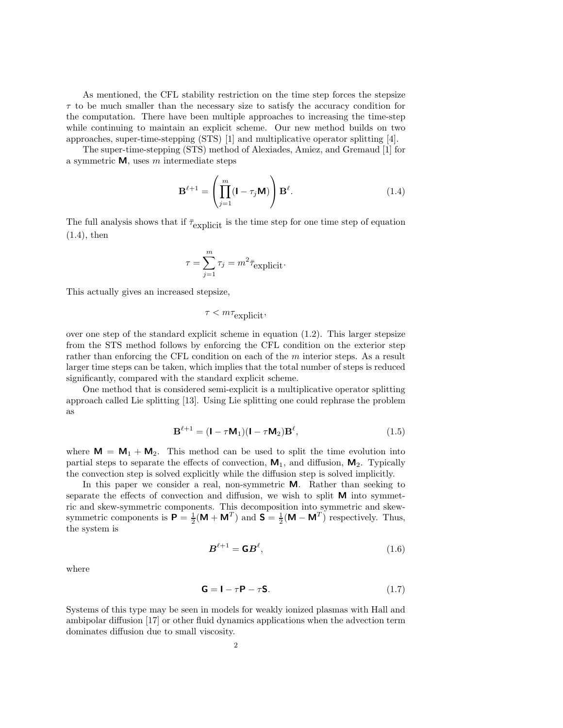As mentioned, the CFL stability restriction on the time step forces the stepsize  $\tau$  to be much smaller than the necessary size to satisfy the accuracy condition for the computation. There have been multiple approaches to increasing the time-step while continuing to maintain an explicit scheme. Our new method builds on two approaches, super-time-stepping (STS) [1] and multiplicative operator splitting [4].

The super-time-stepping (STS) method of Alexiades, Amiez, and Gremaud [1] for a symmetric **M**, uses m intermediate steps

$$
\mathbf{B}^{\ell+1} = \left(\prod_{j=1}^{m} (\mathbf{I} - \tau_j \mathbf{M})\right) \mathbf{B}^{\ell}.
$$
 (1.4)

The full analysis shows that if  $\bar{\tau}_{\text{explicit}}$  is the time step for one time step of equation (1.4), then

$$
\tau = \sum_{j=1}^{m} \tau_j = m^2 \bar{\tau}_{\text{explicit}}.
$$

This actually gives an increased stepsize,

$$
\tau < m\tau_{\text{explicit}},
$$

over one step of the standard explicit scheme in equation (1.2). This larger stepsize from the STS method follows by enforcing the CFL condition on the exterior step rather than enforcing the CFL condition on each of the m interior steps. As a result larger time steps can be taken, which implies that the total number of steps is reduced significantly, compared with the standard explicit scheme.

One method that is considered semi-explicit is a multiplicative operator splitting approach called Lie splitting [13]. Using Lie splitting one could rephrase the problem as

$$
\mathbf{B}^{\ell+1} = (\mathbf{I} - \tau \mathbf{M}_1)(\mathbf{I} - \tau \mathbf{M}_2)\mathbf{B}^{\ell},\tag{1.5}
$$

where  $M = M_1 + M_2$ . This method can be used to split the time evolution into partial steps to separate the effects of convection,  $M_1$ , and diffusion,  $M_2$ . Typically the convection step is solved explicitly while the diffusion step is solved implicitly.

In this paper we consider a real, non-symmetric **M**. Rather than seeking to separate the effects of convection and diffusion, we wish to split **M** into symmetric and skew-symmetric components. This decomposition into symmetric and skewsymmetric components is  $P = \frac{1}{2}(M + M^T)$  and  $S = \frac{1}{2}(M - M^T)$  respectively. Thus, the system is

$$
\boldsymbol{B}^{\ell+1} = \boldsymbol{\mathsf{G}} \boldsymbol{B}^{\ell},\tag{1.6}
$$

where

$$
\mathbf{G} = \mathbf{I} - \tau \mathbf{P} - \tau \mathbf{S}.\tag{1.7}
$$

Systems of this type may be seen in models for weakly ionized plasmas with Hall and ambipolar diffusion [17] or other fluid dynamics applications when the advection term dominates diffusion due to small viscosity.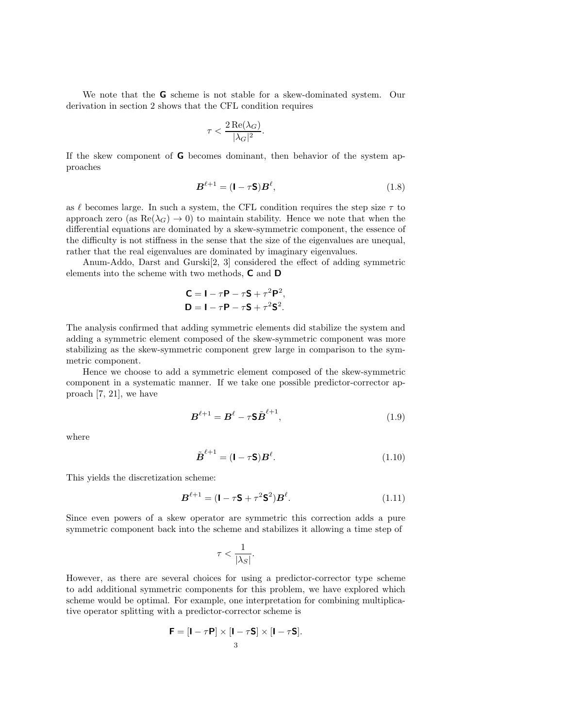We note that the **G** scheme is not stable for a skew-dominated system. Our derivation in section 2 shows that the CFL condition requires

$$
\tau < \frac{2\operatorname{Re}(\lambda_G)}{|\lambda_G|^2}.
$$

If the skew component of **G** becomes dominant, then behavior of the system approaches

$$
\boldsymbol{B}^{\ell+1} = (\mathbf{I} - \tau \mathbf{S}) \boldsymbol{B}^{\ell}, \tag{1.8}
$$

as  $\ell$  becomes large. In such a system, the CFL condition requires the step size  $\tau$  to approach zero (as  $\text{Re}(\lambda_G) \to 0$ ) to maintain stability. Hence we note that when the differential equations are dominated by a skew-symmetric component, the essence of the difficulty is not stiffness in the sense that the size of the eigenvalues are unequal, rather that the real eigenvalues are dominated by imaginary eigenvalues.

Anum-Addo, Darst and Gurski[2, 3] considered the effect of adding symmetric elements into the scheme with two methods, **C** and **D**

$$
\mathbf{C} = \mathbf{I} - \tau \mathbf{P} - \tau \mathbf{S} + \tau^2 \mathbf{P}^2,
$$
  

$$
\mathbf{D} = \mathbf{I} - \tau \mathbf{P} - \tau \mathbf{S} + \tau^2 \mathbf{S}^2.
$$

The analysis confirmed that adding symmetric elements did stabilize the system and adding a symmetric element composed of the skew-symmetric component was more stabilizing as the skew-symmetric component grew large in comparison to the symmetric component.

Hence we choose to add a symmetric element composed of the skew-symmetric component in a systematic manner. If we take one possible predictor-corrector approach [7, 21], we have

$$
\boldsymbol{B}^{\ell+1} = \boldsymbol{B}^{\ell} - \tau \mathbf{S} \tilde{\boldsymbol{B}}^{\ell+1},\tag{1.9}
$$

where

$$
\tilde{\boldsymbol{B}}^{\ell+1} = (\mathbf{I} - \tau \mathbf{S}) \boldsymbol{B}^{\ell}.
$$
\n(1.10)

This yields the discretization scheme:

$$
\boldsymbol{B}^{\ell+1} = (\mathbf{I} - \tau \mathbf{S} + \tau^2 \mathbf{S}^2) \boldsymbol{B}^{\ell}.
$$
 (1.11)

Since even powers of a skew operator are symmetric this correction adds a pure symmetric component back into the scheme and stabilizes it allowing a time step of

$$
\tau < \frac{1}{|\lambda_S|}.
$$

However, as there are several choices for using a predictor-corrector type scheme to add additional symmetric components for this problem, we have explored which scheme would be optimal. For example, one interpretation for combining multiplicative operator splitting with a predictor-corrector scheme is

$$
\mathbf{F} = [\mathbf{I} - \tau \mathbf{P}] \times [\mathbf{I} - \tau \mathbf{S}] \times [\mathbf{I} - \tau \mathbf{S}].
$$
  
3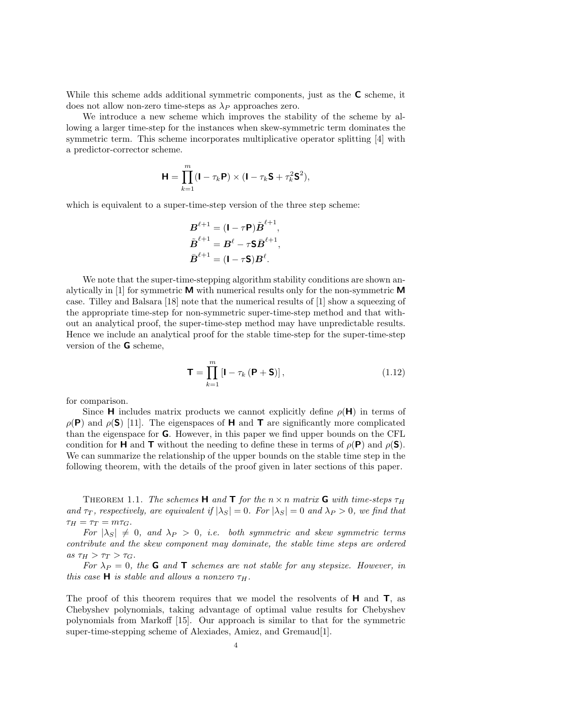While this scheme adds additional symmetric components, just as the **C** scheme, it does not allow non-zero time-steps as  $\lambda_P$  approaches zero.

We introduce a new scheme which improves the stability of the scheme by allowing a larger time-step for the instances when skew-symmetric term dominates the symmetric term. This scheme incorporates multiplicative operator splitting [4] with a predictor-corrector scheme.

$$
\mathbf{H} = \prod_{k=1}^{m} (\mathbf{I} - \tau_k \mathbf{P}) \times (\mathbf{I} - \tau_k \mathbf{S} + \tau_k^2 \mathbf{S}^2),
$$

which is equivalent to a super-time-step version of the three step scheme:

$$
B^{\ell+1} = (\mathbf{I} - \tau \mathbf{P}) \tilde{\boldsymbol{B}}^{\ell+1},
$$
  

$$
\tilde{\boldsymbol{B}}^{\ell+1} = \boldsymbol{B}^{\ell} - \tau \mathbf{S} \tilde{\boldsymbol{B}}^{\ell+1},
$$
  

$$
\bar{\boldsymbol{B}}^{\ell+1} = (\mathbf{I} - \tau \mathbf{S}) \boldsymbol{B}^{\ell}.
$$

We note that the super-time-stepping algorithm stability conditions are shown analytically in [1] for symmetric **M** with numerical results only for the non-symmetric **M** case. Tilley and Balsara [18] note that the numerical results of [1] show a squeezing of the appropriate time-step for non-symmetric super-time-step method and that without an analytical proof, the super-time-step method may have unpredictable results. Hence we include an analytical proof for the stable time-step for the super-time-step version of the **G** scheme,

$$
\mathbf{T} = \prod_{k=1}^{m} \left[ \mathbf{I} - \tau_k \left( \mathbf{P} + \mathbf{S} \right) \right],\tag{1.12}
$$

for comparison.

Since **H** includes matrix products we cannot explicitly define  $\rho(\mathbf{H})$  in terms of  $\rho(\mathbf{P})$  and  $\rho(\mathbf{S})$  [11]. The eigenspaces of **H** and **T** are significantly more complicated than the eigenspace for **G**. However, in this paper we find upper bounds on the CFL condition for **H** and **T** without the needing to define these in terms of  $\rho(\mathbf{P})$  and  $\rho(\mathbf{S})$ . We can summarize the relationship of the upper bounds on the stable time step in the following theorem, with the details of the proof given in later sections of this paper.

**THEOREM** 1.1. *The schemes* **H** and **T** for the  $n \times n$  matrix **G** with time-steps  $\tau_H$ *and*  $\tau_T$ *, respectively, are equivalent if*  $|\lambda_S| = 0$ *. For*  $|\lambda_S| = 0$  *and*  $\lambda_P > 0$ *, we find that*  $\tau_H = \tau_T = m\tau_G.$ 

*For*  $|\lambda_S| \neq 0$ , and  $\lambda_P > 0$ , *i.e.* both symmetric and skew symmetric terms *contribute and the skew component may dominate, the stable time steps are ordered*  $as \tau_H > \tau_T > \tau_G$ .

*For*  $\lambda_P = 0$ , the **G** and **T** *schemes are not stable for any stepsize. However, in this case* **H** *is stable and allows a nonzero*  $\tau_H$ .

The proof of this theorem requires that we model the resolvents of **H** and **T**, as Chebyshev polynomials, taking advantage of optimal value results for Chebyshev polynomials from Markoff [15]. Our approach is similar to that for the symmetric super-time-stepping scheme of Alexiades, Amiez, and Gremaud[1].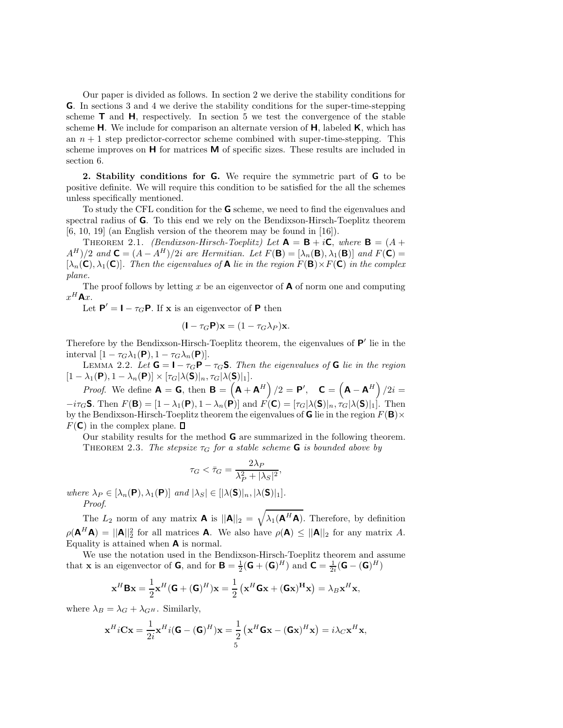Our paper is divided as follows. In section 2 we derive the stability conditions for **G**. In sections 3 and 4 we derive the stability conditions for the super-time-stepping scheme  $\mathsf{T}$  and  $\mathsf{H}$ , respectively. In section 5 we test the convergence of the stable scheme **H**. We include for comparison an alternate version of **H**, labeled **K**, which has an  $n + 1$  step predictor-corrector scheme combined with super-time-stepping. This scheme improves on **H** for matrices **M** of specific sizes. These results are included in section 6.

**2. Stability conditions for G.** We require the symmetric part of **G** to be positive definite. We will require this condition to be satisfied for the all the schemes unless specifically mentioned.

To study the CFL condition for the **G** scheme, we need to find the eigenvalues and spectral radius of **G**. To this end we rely on the Bendixson-Hirsch-Toeplitz theorem [6, 10, 19] (an English version of the theorem may be found in [16]).

**THEOREM** 2.1. *(Bendixson-Hirsch-Toeplitz)* Let  $\mathbf{A} = \mathbf{B} + i\mathbf{C}$ , where  $\mathbf{B} = (A +$  $A^H$ /2 *and*  $\mathbf{C} = (A - A^H)/2i$  *are Hermitian. Let*  $F(\mathbf{B}) = [\lambda_n(\mathbf{B}), \lambda_1(\mathbf{B})]$  *and*  $F(\mathbf{C}) =$  $[\lambda_n(\mathbf{C}), \lambda_1(\mathbf{C})]$ . Then the eigenvalues of **A** lie in the region  $F(\mathbf{B}) \times F(\mathbf{C})$  in the complex *plane.*

The proof follows by letting x be an eigenvector of  $\bf{A}$  of norm one and computing  $x^H$ **A**x.

Let  $P' = I - \tau_G P$ . If **x** is an eigenvector of **P** then

$$
(\mathbf{I}-\tau_G\mathbf{P})\mathbf{x}=(1-\tau_G\lambda_P)\mathbf{x}.
$$

Therefore by the Bendixson-Hirsch-Toeplitz theorem, the eigenvalues of **P**- lie in the interval  $[1 - \tau_G \lambda_1(\mathbf{P}), 1 - \tau_G \lambda_n(\mathbf{P})].$ 

LEMMA 2.2. Let  $G = I - \tau_G P - \tau_G S$ . Then the eigenvalues of G lie in the region  $[1 - \lambda_1(\mathbf{P}), 1 - \lambda_n(\mathbf{P})] \times [\tau_G|\lambda(\mathbf{S})|_n, \tau_G|\lambda(\mathbf{S})|_1].$ 

*Proof.* We define  $\mathbf{A} = \mathbf{G}$ , then  $\mathbf{B} = \left(\mathbf{A} + \mathbf{A}^H\right)/2 = \mathbf{P}'$ ,  $\mathbf{C} = \left(\mathbf{A} - \mathbf{A}^H\right)/2i =$  $-i\tau_G S$ . Then  $F(\mathbf{B}) = [1 - \lambda_1(\mathbf{P}), 1 - \lambda_n(\mathbf{P})]$  and  $F(\mathbf{C}) = [\tau_G|\lambda(\mathbf{S})|_n, \tau_G|\lambda(\mathbf{S})|_1]$ . Then by the Bendixson-Hirsch-Toeplitz theorem the eigenvalues of **G** lie in the region  $F(\mathbf{B})\times$  $F(\mathbf{C})$  in the complex plane.  $\Box$ 

Our stability results for the method **G** are summarized in the following theorem. THEOREM 2.3. *The stepsize*  $\tau_G$  *for a stable scheme* **G** *is bounded above by* 

$$
\tau_G < \bar{\tau}_G = \frac{2\lambda_P}{\lambda_P^2 + |\lambda_S|^2},
$$

*where*  $\lambda_P \in [\lambda_n(\mathbf{P}), \lambda_1(\mathbf{P})]$  *and*  $|\lambda_S| \in [|\lambda(\mathbf{S})|_n, |\lambda(\mathbf{S})|_1]$ *. Proof*.

The  $L_2$  norm of any matrix **A** is  $||\mathbf{A}||_2 = \sqrt{\lambda_1(\mathbf{A}^H\mathbf{A})}$ . Therefore, by definition  $\rho(\mathbf{A}^H \mathbf{A}) = ||\mathbf{A}||_2^2$  for all matrices **A**. We also have  $\rho(\mathbf{A}) \le ||\mathbf{A}||_2$  for any matrix A. Equality is attained when **A** is normal.

We use the notation used in the Bendixson-Hirsch-Toeplitz theorem and assume that **x** is an eigenvector of **G**, and for **B** =  $\frac{1}{2}$ (**G** + (**G**)<sup>H</sup>) and **C** =  $\frac{1}{2i}$ (**G** – (**G**)<sup>H</sup>)

$$
\mathbf{x}^H \mathbf{B} \mathbf{x} = \frac{1}{2} \mathbf{x}^H (\mathbf{G} + (\mathbf{G})^H) \mathbf{x} = \frac{1}{2} (\mathbf{x}^H \mathbf{G} \mathbf{x} + (\mathbf{G} \mathbf{x})^H \mathbf{x}) = \lambda_B \mathbf{x}^H \mathbf{x},
$$

where  $\lambda_B = \lambda_G + \lambda_{G^H}$ . Similarly,

$$
\mathbf{x}^{H} i \mathbf{C} \mathbf{x} = \frac{1}{2i} \mathbf{x}^{H} i (\mathbf{G} - (\mathbf{G})^{H}) \mathbf{x} = \frac{1}{2} (\mathbf{x}^{H} \mathbf{G} \mathbf{x} - (\mathbf{G} \mathbf{x})^{H} \mathbf{x}) = i \lambda_{C} \mathbf{x}^{H} \mathbf{x},
$$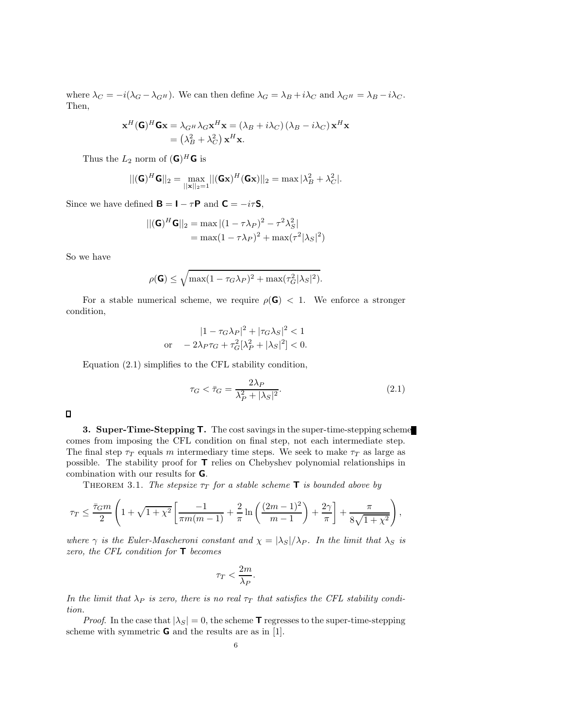where  $\lambda_C = -i(\lambda_G - \lambda_{G^H})$ . We can then define  $\lambda_G = \lambda_B + i\lambda_C$  and  $\lambda_{G^H} = \lambda_B - i\lambda_C$ . Then,

$$
\mathbf{x}^{H}(\mathbf{G})^{H}\mathbf{G}\mathbf{x} = \lambda_{G^{H}}\lambda_{G}\mathbf{x}^{H}\mathbf{x} = (\lambda_{B} + i\lambda_{C})(\lambda_{B} - i\lambda_{C})\mathbf{x}^{H}\mathbf{x}
$$

$$
= (\lambda_{B}^{2} + \lambda_{C}^{2})\mathbf{x}^{H}\mathbf{x}.
$$

Thus the  $L_2$  norm of  $(\mathbf{G})^H \mathbf{G}$  is

$$
||(\mathbf{G})^H \mathbf{G}||_2 = \max_{||\mathbf{x}||_2 = 1} ||(\mathbf{G}\mathbf{x})^H (\mathbf{G}\mathbf{x})||_2 = \max |\lambda_B^2 + \lambda_C^2|.
$$

Since we have defined  $\mathbf{B} = \mathbf{I} - \tau \mathbf{P}$  and  $\mathbf{C} = -i\tau \mathbf{S}$ ,

$$
||(\mathbf{G})^H \mathbf{G}||_2 = \max |(1 - \tau \lambda_P)^2 - \tau^2 \lambda_S^2|
$$
  
= max(1 - \tau \lambda\_P)^2 + max(\tau^2 |\lambda\_S|^2)

So we have

$$
\rho(\mathbf{G}) \le \sqrt{\max(1 - \tau_G \lambda_P)^2 + \max(\tau_G^2 |\lambda_S|^2)}.
$$

For a stable numerical scheme, we require  $\rho(\mathbf{G}) < 1$ . We enforce a stronger condition,

$$
|1 - \tau_G \lambda_P|^2 + |\tau_G \lambda_S|^2 < 1
$$
  
or 
$$
-2\lambda_P \tau_G + \tau_G^2[\lambda_P^2 + |\lambda_S|^2] < 0.
$$

Equation (2.1) simplifies to the CFL stability condition,

$$
\tau_G < \bar{\tau}_G = \frac{2\lambda_P}{\lambda_P^2 + |\lambda_S|^2}.\tag{2.1}
$$

 $\Box$ 

**3. Super-Time-Stepping T.** The cost savings in the super-time-stepping scheme comes from imposing the CFL condition on final step, not each intermediate step. The final step  $\tau_T$  equals m intermediary time steps. We seek to make  $\tau_T$  as large as possible. The stability proof for **T** relies on Chebyshev polynomial relationships in combination with our results for **G**.

THEOREM 3.1. *The stepsize*  $\tau_T$  *for a stable scheme* **T** *is bounded above by* 

$$
\tau_T \le \frac{\bar{\tau}_G m}{2} \left( 1 + \sqrt{1 + \chi^2} \left[ \frac{-1}{\pi m(m-1)} + \frac{2}{\pi} \ln \left( \frac{(2m-1)^2}{m-1} \right) + \frac{2\gamma}{\pi} \right] + \frac{\pi}{8\sqrt{1 + \chi^2}} \right),
$$

*where*  $\gamma$  *is the Euler-Mascheroni constant and*  $\chi = |\lambda_S|/\lambda_P$ *. In the limit that*  $\lambda_S$  *is zero, the CFL condition for* **T** *becomes*

$$
\tau_T < \frac{2m}{\lambda_P}.
$$

*In the limit that*  $\lambda_P$  *is zero, there is no real*  $\tau_T$  *that satisfies the CFL stability condition.*

*Proof.* In the case that  $|\lambda_S| = 0$ , the scheme **T** regresses to the super-time-stepping scheme with symmetric **G** and the results are as in [1].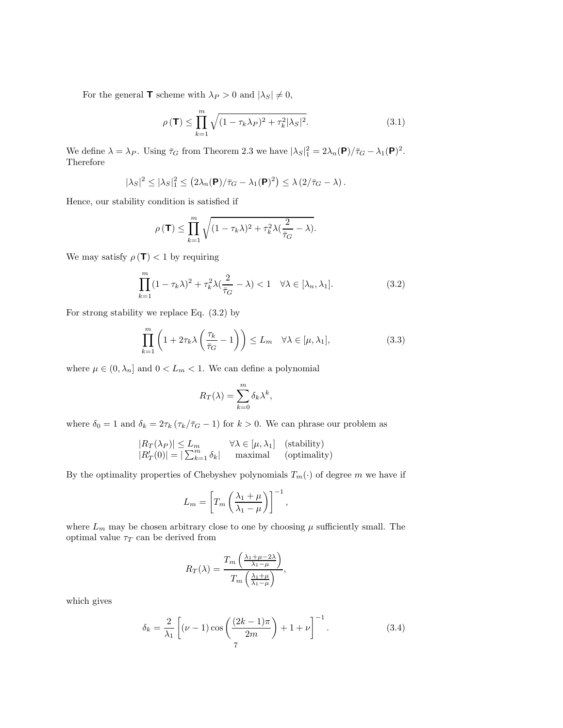For the general **T** scheme with  $\lambda_P > 0$  and  $|\lambda_S| \neq 0$ ,

$$
\rho(\mathbf{T}) \le \prod_{k=1}^{m} \sqrt{(1 - \tau_k \lambda_P)^2 + \tau_k^2 |\lambda_S|^2}.
$$
\n(3.1)

We define  $\lambda = \lambda_P$ . Using  $\bar{\tau}_G$  from Theorem 2.3 we have  $|\lambda_S|^2 = 2\lambda_n(\mathbf{P})/\bar{\tau}_G - \lambda_1(\mathbf{P})^2$ . Therefore

$$
|\lambda_S|^2 \leq |\lambda_S|_1^2 \leq (2\lambda_n(\mathbf{P})/\bar{\tau}_G - \lambda_1(\mathbf{P})^2) \leq \lambda (2/\bar{\tau}_G - \lambda).
$$

Hence, our stability condition is satisfied if

$$
\rho(\mathbf{T}) \le \prod_{k=1}^m \sqrt{(1 - \tau_k \lambda)^2 + \tau_k^2 \lambda(\frac{2}{\bar{\tau}_G} - \lambda)}.
$$

We may satisfy  $\rho(\mathbf{T}) < 1$  by requiring

$$
\prod_{k=1}^{m} (1 - \tau_k \lambda)^2 + \tau_k^2 \lambda \left(\frac{2}{\bar{\tau}_G} - \lambda\right) < 1 \quad \forall \lambda \in [\lambda_n, \lambda_1].\tag{3.2}
$$

For strong stability we replace Eq. (3.2) by

$$
\prod_{k=1}^{m} \left( 1 + 2\tau_k \lambda \left( \frac{\tau_k}{\bar{\tau}_G} - 1 \right) \right) \le L_m \quad \forall \lambda \in [\mu, \lambda_1],\tag{3.3}
$$

where  $\mu \in (0, \lambda_n]$  and  $0 < L_m < 1$ . We can define a polynomial

$$
R_T(\lambda) = \sum_{k=0}^m \delta_k \lambda^k,
$$

where  $\delta_0 = 1$  and  $\delta_k = 2\tau_k (\tau_k/\bar{\tau}_G - 1)$  for  $k > 0$ . We can phrase our problem as

$$
|R_T(\lambda_P)| \le L_m \qquad \forall \lambda \in [\mu, \lambda_1] \quad \text{(stability)}
$$
  

$$
|R'_T(0)| = |\sum_{k=1}^m \delta_k| \qquad \text{maximal} \qquad \text{(optimality)}
$$

By the optimality properties of Chebyshev polynomials  $T_m(\cdot)$  of degree m we have if

$$
L_m = \left[ T_m \left( \frac{\lambda_1 + \mu}{\lambda_1 - \mu} \right) \right]^{-1},
$$

where  $L_m$  may be chosen arbitrary close to one by choosing  $\mu$  sufficiently small. The optimal value  $\tau_T$  can be derived from

$$
R_T(\lambda) = \frac{T_m\left(\frac{\lambda_1 + \mu - 2\lambda}{\lambda_1 - \mu}\right)}{T_m\left(\frac{\lambda_1 + \mu}{\lambda_1 - \mu}\right)},
$$

which gives

$$
\delta_k = \frac{2}{\lambda_1} \left[ (\nu - 1) \cos \left( \frac{(2k - 1)\pi}{2m} \right) + 1 + \nu \right]^{-1}.
$$
 (3.4)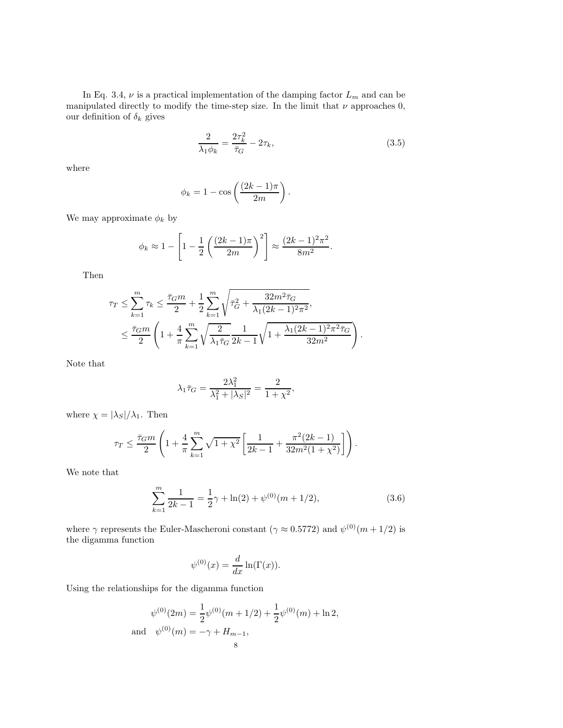In Eq. 3.4,  $\nu$  is a practical implementation of the damping factor  $L_m$  and can be manipulated directly to modify the time-step size. In the limit that  $\nu$  approaches 0, our definition of  $\delta_k$  gives

$$
\frac{2}{\lambda_1 \phi_k} = \frac{2\tau_k^2}{\bar{\tau}_G} - 2\tau_k,\tag{3.5}
$$

where

$$
\phi_k = 1 - \cos\left(\frac{(2k-1)\pi}{2m}\right).
$$

We may approximate  $\phi_k$  by

$$
\phi_k \approx 1 - \left[1 - \frac{1}{2} \left( \frac{(2k-1)\pi}{2m} \right)^2 \right] \approx \frac{(2k-1)^2 \pi^2}{8m^2}.
$$

Then

$$
\tau_T \leq \sum_{k=1}^m \tau_k \leq \frac{\bar{\tau}_G m}{2} + \frac{1}{2} \sum_{k=1}^m \sqrt{\bar{\tau}_G^2 + \frac{32m^2 \bar{\tau}_G}{\lambda_1 (2k-1)^2 \pi^2}},
$$
  

$$
\leq \frac{\bar{\tau}_G m}{2} \left( 1 + \frac{4}{\pi} \sum_{k=1}^m \sqrt{\frac{2}{\lambda_1 \bar{\tau}_G} \frac{1}{2k-1} \sqrt{1 + \frac{\lambda_1 (2k-1)^2 \pi^2 \bar{\tau}_G}{32m^2}}} \right).
$$

Note that

$$
\lambda_1\bar\tau_G=\frac{2\lambda_1^2}{\lambda_1^2+|\lambda_S|^2}=\frac{2}{1+\chi^2},
$$

where  $\chi = |\lambda_S| / \lambda_1$ . Then

$$
\tau_T \le \frac{\bar{\tau}_G m}{2} \left( 1 + \frac{4}{\pi} \sum_{k=1}^m \sqrt{1 + \chi^2} \left[ \frac{1}{2k-1} + \frac{\pi^2 (2k-1)}{32m^2 (1 + \chi^2)} \right] \right).
$$

We note that

$$
\sum_{k=1}^{m} \frac{1}{2k-1} = \frac{1}{2}\gamma + \ln(2) + \psi^{(0)}(m+1/2),\tag{3.6}
$$

where  $\gamma$  represents the Euler-Mascheroni constant  $(\gamma \approx 0.5772)$  and  $\psi^{(0)}(m + 1/2)$  is the digamma function

$$
\psi^{(0)}(x) = \frac{d}{dx}\ln(\Gamma(x)).
$$

Using the relationships for the digamma function

$$
\psi^{(0)}(2m) = \frac{1}{2}\psi^{(0)}(m+1/2) + \frac{1}{2}\psi^{(0)}(m) + \ln 2,
$$
  
and 
$$
\psi^{(0)}(m) = -\gamma + H_{m-1},
$$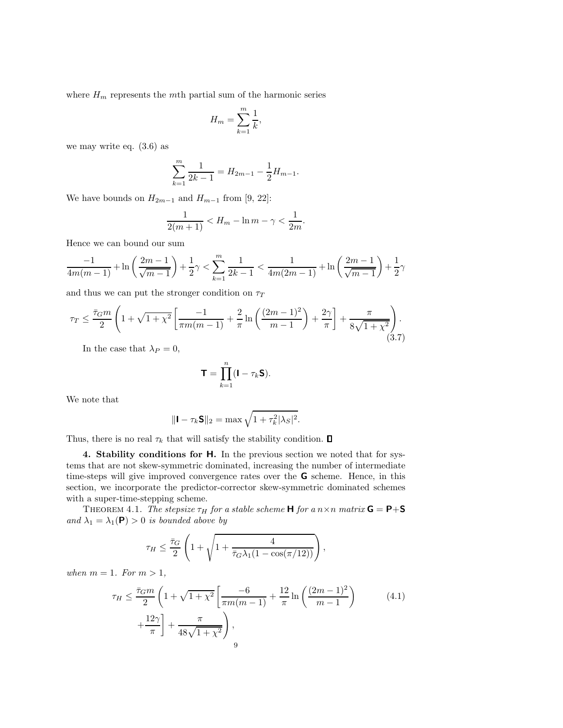where  $H_m$  represents the mth partial sum of the harmonic series

$$
H_m = \sum_{k=1}^m \frac{1}{k},
$$

we may write eq. (3.6) as

$$
\sum_{k=1}^{m} \frac{1}{2k-1} = H_{2m-1} - \frac{1}{2} H_{m-1}.
$$

We have bounds on  $H_{2m-1}$  and  $H_{m-1}$  from [9, 22]:

$$
\frac{1}{2(m+1)} < H_m - \ln m - \gamma < \frac{1}{2m}.
$$

Hence we can bound our sum

$$
\frac{-1}{4m(m-1)} + \ln\left(\frac{2m-1}{\sqrt{m-1}}\right) + \frac{1}{2}\gamma < \sum_{k=1}^{m} \frac{1}{2k-1} < \frac{1}{4m(2m-1)} + \ln\left(\frac{2m-1}{\sqrt{m-1}}\right) + \frac{1}{2}\gamma
$$

and thus we can put the stronger condition on  $\tau_T$ 

$$
\tau_T \le \frac{\bar{\tau}_G m}{2} \left( 1 + \sqrt{1 + \chi^2} \left[ \frac{-1}{\pi m(m-1)} + \frac{2}{\pi} \ln \left( \frac{(2m-1)^2}{m-1} \right) + \frac{2\gamma}{\pi} \right] + \frac{\pi}{8\sqrt{1 + \chi^2}} \right). \tag{3.7}
$$

In the case that  $\lambda_P = 0$ ,

$$
\mathbf{T} = \prod_{k=1}^n (\mathbf{I} - \tau_k \mathbf{S}).
$$

We note that

$$
\|\mathbf{I} - \tau_k \mathbf{S}\|_2 = \max \sqrt{1 + \tau_k^2 |\lambda_S|^2}.
$$

Thus, there is no real  $\tau_k$  that will satisfy the stability condition.  $\Box$ 

**4. Stability conditions for H.** In the previous section we noted that for systems that are not skew-symmetric dominated, increasing the number of intermediate time-steps will give improved convergence rates over the **G** scheme. Hence, in this section, we incorporate the predictor-corrector skew-symmetric dominated schemes with a super-time-stepping scheme.

THEOREM 4.1. *The stepsize*  $\tau_H$  *for a stable scheme* **H** *for a*  $n \times n$  *matrix* **G** = **P**+**S** *and*  $\lambda_1 = \lambda_1(\mathbf{P}) > 0$  *is bounded above by* 

$$
\tau_H \leq \frac{\bar{\tau}_G}{2}\left(1 + \sqrt{1 + \frac{4}{\bar{\tau}_G\lambda_1(1 - \cos(\pi/12))}}\right)
$$

*when*  $m = 1$ *. For*  $m > 1$ *,* 

$$
\tau_H \le \frac{\bar{\tau}_G m}{2} \left( 1 + \sqrt{1 + \chi^2} \left[ \frac{-6}{\pi m (m - 1)} + \frac{12}{\pi} \ln \left( \frac{(2m - 1)^2}{m - 1} \right) + \frac{12\gamma}{\pi} \right] + \frac{\pi}{48\sqrt{1 + \chi^2}} \right),
$$
\n(4.1)

,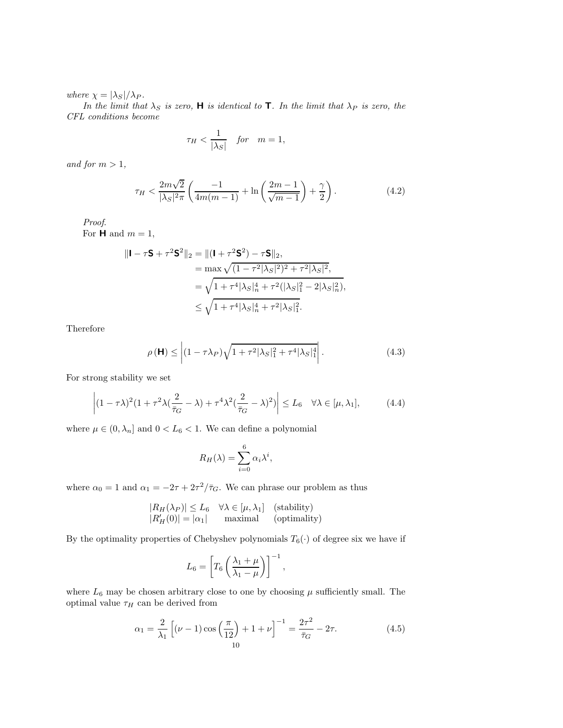*where*  $\chi = |\lambda_S|/\lambda_P$ *.* 

*In the limit that*  $\lambda_S$  *is zero,* **H** *is identical to* **T***. In the limit that*  $\lambda_P$  *is zero, the CFL conditions become*

$$
\tau_H < \frac{1}{|\lambda_S|} \quad \text{for} \quad m = 1,
$$

*and for*  $m > 1$ *,* 

$$
\tau_H < \frac{2m\sqrt{2}}{|\lambda_S|^2 \pi} \left( \frac{-1}{4m(m-1)} + \ln \left( \frac{2m-1}{\sqrt{m-1}} \right) + \frac{\gamma}{2} \right). \tag{4.2}
$$

*Proof*.

For **H** and  $m = 1$ ,

$$
\|\mathbf{I} - \tau \mathbf{S} + \tau^2 \mathbf{S}^2\|_2 = \|(\mathbf{I} + \tau^2 \mathbf{S}^2) - \tau \mathbf{S}\|_2,
$$
  
=  $\max \sqrt{(1 - \tau^2 |\lambda_S|^2)^2 + \tau^2 |\lambda_S|^2},$   
=  $\sqrt{1 + \tau^4 |\lambda_S|_n^4 + \tau^2 (|\lambda_S|_1^2 - 2|\lambda_S|_n^2)},$   
\$\leq \sqrt{1 + \tau^4 |\lambda\_S|\_n^4 + \tau^2 |\lambda\_S|\_1^2}.

Therefore

$$
\rho(\mathbf{H}) \le \left| (1 - \tau \lambda_P) \sqrt{1 + \tau^2 |\lambda_S|_1^2 + \tau^4 |\lambda_S|_1^4} \right|.
$$
\n(4.3)

For strong stability we set

$$
\left| (1 - \tau \lambda)^2 (1 + \tau^2 \lambda (\frac{2}{\bar{\tau}_G} - \lambda) + \tau^4 \lambda^2 (\frac{2}{\bar{\tau}_G} - \lambda)^2) \right| \le L_6 \quad \forall \lambda \in [\mu, \lambda_1],\tag{4.4}
$$

where  $\mu \in (0, \lambda_n]$  and  $0 < L_6 < 1$ . We can define a polynomial

$$
R_H(\lambda) = \sum_{i=0}^6 \alpha_i \lambda^i,
$$

where  $\alpha_0 = 1$  and  $\alpha_1 = -2\tau + 2\tau^2/\bar{\tau}_G$ . We can phrase our problem as thus

$$
|R_H(\lambda_P)| \le L_6 \quad \forall \lambda \in [\mu, \lambda_1] \quad \text{(stability)}|R_H'(0)| = |\alpha_1| \qquad \text{maximal} \qquad \text{(optimality)}
$$

By the optimality properties of Chebyshev polynomials  $T_6(\cdot)$  of degree six we have if

$$
L_6 = \left[ T_6 \left( \frac{\lambda_1 + \mu}{\lambda_1 - \mu} \right) \right]^{-1},
$$

where  $L_6$  may be chosen arbitrary close to one by choosing  $\mu$  sufficiently small. The optimal value  $\tau_H$  can be derived from

$$
\alpha_1 = \frac{2}{\lambda_1} \left[ (\nu - 1) \cos \left( \frac{\pi}{12} \right) + 1 + \nu \right]^{-1} = \frac{2\tau^2}{\bar{\tau}_G} - 2\tau.
$$
 (4.5)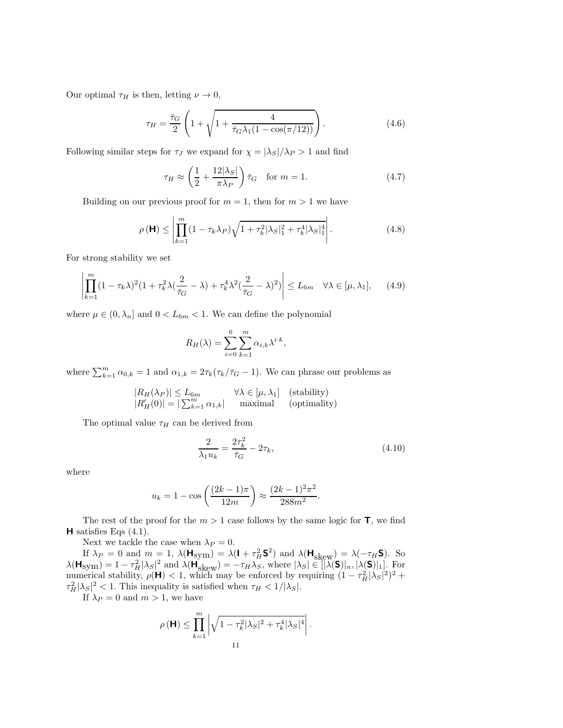Our optimal  $\tau_H$  is then, letting  $\nu \to 0$ ,

$$
\tau_H = \frac{\bar{\tau}_G}{2} \left( 1 + \sqrt{1 + \frac{4}{\bar{\tau}_G \lambda_1 (1 - \cos(\pi/12))}} \right). \tag{4.6}
$$

Following similar steps for  $\tau_J$  we expand for  $\chi = |\lambda_S|/\lambda_P > 1$  and find

$$
\tau_H \approx \left(\frac{1}{2} + \frac{12|\lambda_S|}{\pi \lambda_P}\right) \bar{\tau}_G \quad \text{for } m = 1.
$$
\n(4.7)

Building on our previous proof for  $m = 1$ , then for  $m > 1$  we have

$$
\rho(\mathbf{H}) \le \left| \prod_{k=1}^{m} (1 - \tau_k \lambda_P) \sqrt{1 + \tau_k^2 |\lambda_S|_1^2 + \tau_k^4 |\lambda_S|_1^4} \right|.
$$
 (4.8)

For strong stability we set

$$
\left| \prod_{k=1}^{m} (1 - \tau_k \lambda)^2 (1 + \tau_k^2 \lambda (\frac{2}{\bar{\tau}_G} - \lambda) + \tau_k^4 \lambda^2 (\frac{2}{\bar{\tau}_G} - \lambda)^2) \right| \le L_{6m} \quad \forall \lambda \in [\mu, \lambda_1], \quad (4.9)
$$

where  $\mu \in (0, \lambda_n]$  and  $0 < L_{6m} < 1$ . We can define the polynomial

$$
R_H(\lambda) = \sum_{i=0}^{6} \sum_{k=1}^{m} \alpha_{i,k} \lambda^{i \cdot k},
$$

where  $\sum_{k=1}^{m} \alpha_{0,k} = 1$  and  $\alpha_{1,k} = 2\tau_k(\tau_k/\bar{\tau}_G - 1)$ . We can phrase our problems as

$$
|R_H(\lambda_P)| \le L_{6m} \quad \forall \lambda \in [\mu, \lambda_1] \quad \text{(stability)}
$$
  

$$
|R'_H(0)| = |\sum_{k=1}^m \alpha_{1,k}| \quad \text{maximal} \quad \text{(optimality)}
$$

The optimal value  $\tau_H$  can be derived from

$$
\frac{2}{\lambda_1 u_k} = \frac{2\tau_k^2}{\bar{\tau}_G} - 2\tau_k,
$$
\n(4.10)

where

$$
u_k = 1 - \cos\left(\frac{(2k-1)\pi}{12m}\right) \approx \frac{(2k-1)^2\pi^2}{288m^2}.
$$

The rest of the proof for the  $m > 1$  case follows by the same logic for **T**, we find **H** satisfies Eqs (4.1).

Next we tackle the case when  $\lambda_P = 0$ .

If  $\lambda_P = 0$  and  $m = 1$ ,  $\lambda(\mathbf{H}_{sym}) = \lambda(\mathbf{I} + \tau_H^2 \mathbf{S}^2)$  and  $\lambda(\mathbf{H}_{skew}) = \lambda(-\tau_H \mathbf{S})$ . So  $\lambda(\mathbf{H}_{\text{sym}}) = 1 - \tau_H^2 |\lambda_S|^2$  and  $\lambda(\mathbf{H}_{\text{skew}}) = -\tau_H \lambda_S$ , where  $|\lambda_S| \in [|\lambda(\mathbf{S})|_n, |\lambda(\mathbf{S})|_1]$ . For numerical stability,  $\rho(\mathbf{H}) < 1$ , which may be enforced by requiring  $(1 - \tau_H^2 |\lambda_S|^2)^2$  +  $\tau_H^2 |\lambda_S|^2 < 1$ . This inequality is satisfied when  $\tau_H < 1/|\lambda_S|$ .

If  $\lambda_P = 0$  and  $m > 1$ , we have

$$
\rho(\mathbf{H}) \le \prod_{k=1}^m \left| \sqrt{1 - \tau_k^2 |\lambda_S|^2 + \tau_k^4 |\lambda_S|^4} \right|.
$$
  
11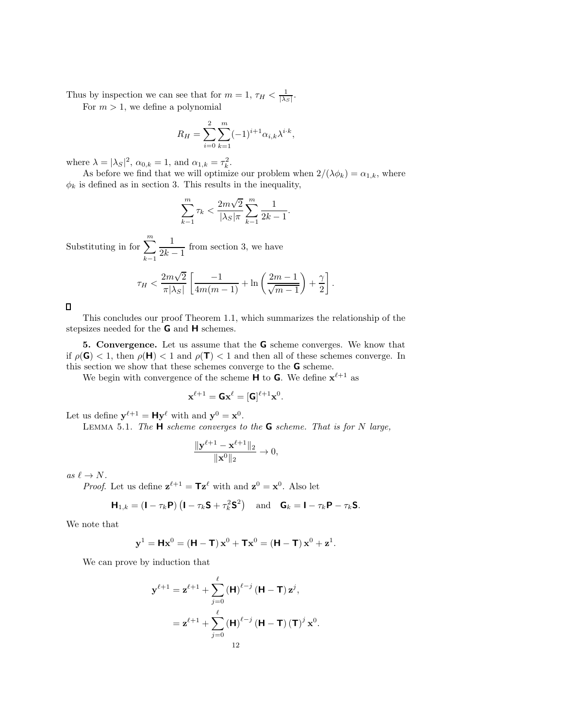Thus by inspection we can see that for  $m = 1$ ,  $\tau_H < \frac{1}{|\lambda_S|}$ .

For  $m > 1$ , we define a polynomial

$$
R_H = \sum_{i=0}^{2} \sum_{k=1}^{m} (-1)^{i+1} \alpha_{i,k} \lambda^{i \cdot k},
$$

where  $\lambda = |\lambda_S|^2$ ,  $\alpha_{0,k} = 1$ , and  $\alpha_{1,k} = \tau_k^2$ .

As before we find that we will optimize our problem when  $2/(\lambda \phi_k) = \alpha_{1,k}$ , where  $\phi_k$  is defined as in section 3. This results in the inequality,

$$
\sum_{k=1}^{m} \tau_k < \frac{2m\sqrt{2}}{|\lambda_S|\pi} \sum_{k=1}^{m} \frac{1}{2k-1}.
$$

Substituting in for  $\sum_{n=1}^{\infty}$  $k-1$  $\frac{1}{2k-1}$  from section 3, we have

$$
\tau_H < \frac{2m\sqrt{2}}{\pi|\lambda_S|} \left[ \frac{-1}{4m(m-1)} + \ln\left(\frac{2m-1}{\sqrt{m-1}}\right) + \frac{\gamma}{2} \right].
$$

 $\Box$ 

This concludes our proof Theorem 1.1, which summarizes the relationship of the stepsizes needed for the **G** and **H** schemes.

**5. Convergence.** Let us assume that the **G** scheme converges. We know that if  $\rho(\mathbf{G}) < 1$ , then  $\rho(\mathbf{H}) < 1$  and  $\rho(\mathbf{T}) < 1$  and then all of these schemes converge. In this section we show that these schemes converge to the **G** scheme.

We begin with convergence of the scheme **H** to **G**. We define  $\mathbf{x}^{\ell+1}$  as

$$
\mathbf{x}^{\ell+1} = \pmb{\mathsf{G}} \mathbf{x}^{\ell} = [\pmb{\mathsf{G}}]^{\ell+1} \mathbf{x}^0.
$$

Let us define  $y^{\ell+1} = Hy^{\ell}$  with and  $y^0 = x^0$ .

Lemma 5.1. *The* **H** *scheme converges to the* **G** *scheme. That is for* N *large,*

$$
\frac{\|\mathbf{y}^{\ell+1} - \mathbf{x}^{\ell+1}\|_2}{\|\mathbf{x}^0\|_2} \to 0,
$$

 $as \ell \rightarrow N$ .

*Proof.* Let us define  $\mathbf{z}^{\ell+1} = \mathbf{T} \mathbf{z}^{\ell}$  with and  $\mathbf{z}^0 = \mathbf{x}^0$ . Also let

$$
\mathbf{H}_{1,k} = (\mathbf{I} - \tau_k \mathbf{P}) (\mathbf{I} - \tau_k \mathbf{S} + \tau_k^2 \mathbf{S}^2) \text{ and } \mathbf{G}_k = \mathbf{I} - \tau_k \mathbf{P} - \tau_k \mathbf{S}.
$$

We note that

$$
\mathbf{y}^1 = \mathbf{H}\mathbf{x}^0 = (\mathbf{H} - \mathbf{T})\mathbf{x}^0 + \mathbf{T}\mathbf{x}^0 = (\mathbf{H} - \mathbf{T})\mathbf{x}^0 + \mathbf{z}^1.
$$

We can prove by induction that

$$
\mathbf{y}^{\ell+1} = \mathbf{z}^{\ell+1} + \sum_{j=0}^{\ell} (\mathbf{H})^{\ell-j} (\mathbf{H} - \mathbf{T}) \mathbf{z}^j,
$$
  
=  $\mathbf{z}^{\ell+1} + \sum_{j=0}^{\ell} (\mathbf{H})^{\ell-j} (\mathbf{H} - \mathbf{T}) (\mathbf{T})^j \mathbf{x}^0.$   

$$
12
$$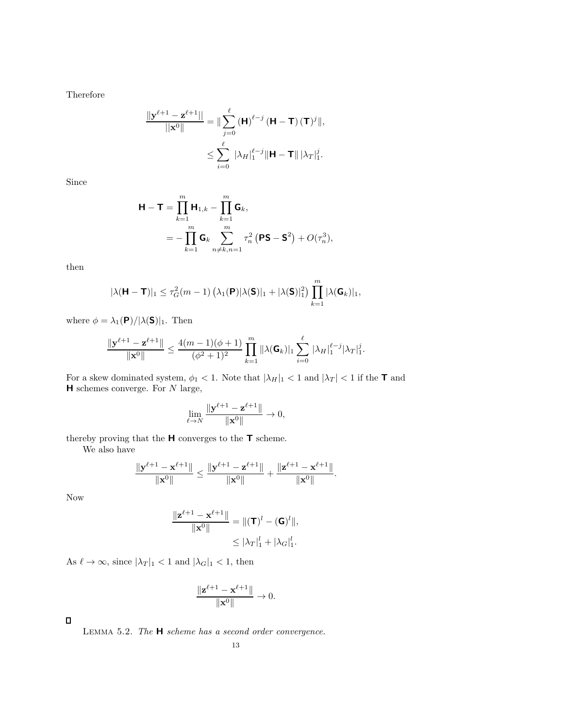Therefore

$$
\frac{\|\mathbf{y}^{\ell+1} - \mathbf{z}^{\ell+1}\|}{\|\mathbf{x}^0\|} = \|\sum_{j=0}^{\ell} (\mathbf{H})^{\ell-j} (\mathbf{H} - \mathbf{T}) (\mathbf{T})^j\|,
$$
  

$$
\leq \sum_{i=0}^{\ell} |\lambda_H|_1^{\ell-j} \|\mathbf{H} - \mathbf{T}\| |\lambda_T|_1^j.
$$

Since

$$
\mathbf{H} - \mathbf{T} = \prod_{k=1}^{m} \mathbf{H}_{1,k} - \prod_{k=1}^{m} \mathbf{G}_k,
$$
  
= 
$$
- \prod_{k=1}^{m} \mathbf{G}_k \sum_{n \neq k, n=1}^{m} \tau_n^2 (\mathbf{PS} - \mathbf{S}^2) + O(\tau_n^3),
$$

then

$$
|\lambda(\mathbf{H}-\mathbf{T})|_1 \leq \tau_G^2(m-1) \left(\lambda_1(\mathbf{P})|\lambda(\mathbf{S})|_1 + |\lambda(\mathbf{S})|_1^2\right) \prod_{k=1}^m |\lambda(\mathbf{G}_k)|_1,
$$

where  $\phi = \lambda_1(\mathbf{P})/|\lambda(\mathbf{S})|_1$ . Then

$$
\frac{\|\mathbf{y}^{\ell+1}-\mathbf{z}^{\ell+1}\|}{\|\mathbf{x}^0\|} \le \frac{4(m-1)(\phi+1)}{(\phi^2+1)^2} \prod_{k=1}^m \|\lambda(\mathbf{G}_k)|_1 \sum_{i=0}^{\ell} |\lambda_H|_1^{\ell-j} |\lambda_T|_1^j.
$$

For a skew dominated system,  $\phi_1 < 1$ . Note that  $|\lambda_H|_1 < 1$  and  $|\lambda_T| < 1$  if the **T** and **H** schemes converge. For N large,

$$
\lim_{\ell \to N} \frac{\|\mathbf{y}^{\ell+1} - \mathbf{z}^{\ell+1}\|}{\|\mathbf{x}^0\|} \to 0,
$$

thereby proving that the **H** converges to the **T** scheme.

We also have

$$
\frac{\|\mathbf{y}^{\ell+1}-\mathbf{x}^{\ell+1}\|}{\|\mathbf{x}^0\|} \leq \frac{\|\mathbf{y}^{\ell+1}-\mathbf{z}^{\ell+1}\|}{\|\mathbf{x}^0\|} + \frac{\|\mathbf{z}^{\ell+1}-\mathbf{x}^{\ell+1}\|}{\|\mathbf{x}^0\|}.
$$

Now

$$
\frac{\|\mathbf{z}^{\ell+1} - \mathbf{x}^{\ell+1}\|}{\|\mathbf{x}^0\|} = \|(\mathbf{T})^l - (\mathbf{G})^l\|,
$$
  

$$
\leq |\lambda_T|_1^l + |\lambda_G|_1^l.
$$

As  $\ell\to\infty,$  since  $|\lambda_T|_1<1$  and  $|\lambda_G|_1<1,$  then

$$
\frac{\|\mathbf{z}^{\ell+1} - \mathbf{x}^{\ell+1}\|}{\|\mathbf{x}^0\|} \to 0.
$$

 $\Box$ 

Lemma 5.2. *The* **H** *scheme has a second order convergence.*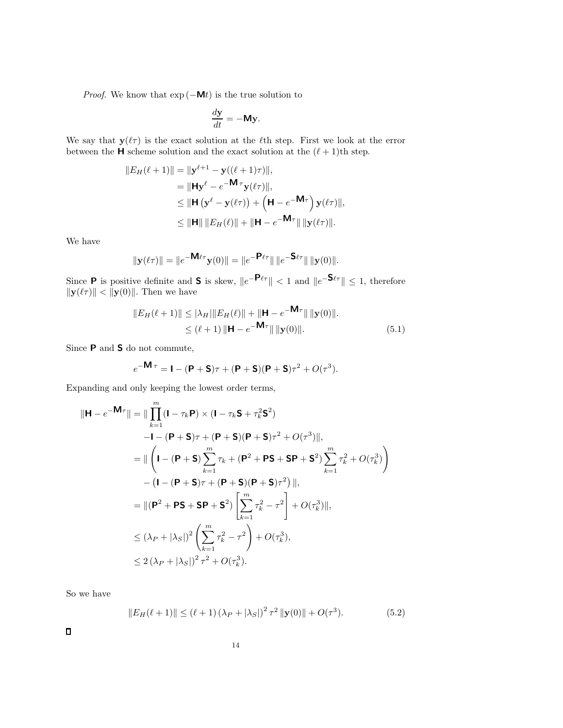*Proof.* We know that  $exp(-Mt)$  is the true solution to

$$
\frac{d\mathbf{y}}{dt} = -\mathbf{My}.
$$

We say that  $y(\ell\tau)$  is the exact solution at the  $\ell$ <sup>th</sup> step. First we look at the error between the **H** scheme solution and the exact solution at the  $(\ell + 1)$ th step.

$$
||E_H(\ell+1)|| = ||\mathbf{y}^{\ell+1} - \mathbf{y}((\ell+1)\tau)||,
$$
  
\n
$$
= ||\mathbf{H}\mathbf{y}^{\ell} - e^{-\mathbf{M}\tau}\mathbf{y}(\ell\tau)||,
$$
  
\n
$$
\leq ||\mathbf{H}(\mathbf{y}^{\ell} - \mathbf{y}(\ell\tau)) + (\mathbf{H} - e^{-\mathbf{M}\tau})\mathbf{y}(\ell\tau)||,
$$
  
\n
$$
\leq ||\mathbf{H}|| ||E_H(\ell)|| + ||\mathbf{H} - e^{-\mathbf{M}\tau}|| ||\mathbf{y}(\ell\tau)||.
$$

We have

$$
\|\mathbf{y}(\ell\tau)\| = \|e^{-\mathbf{M}\ell\tau}\mathbf{y}(0)\| = \|e^{-\mathbf{P}\ell\tau}\| \|e^{-\mathbf{S}\ell\tau}\| \|\mathbf{y}(0)\|.
$$

Since **P** is positive definite and **S** is skew,  $||e^{-\mathbf{P}\ell\tau}|| < 1$  and  $||e^{-\mathbf{S}\ell\tau}|| \leq 1$ , therefore  $\|\mathbf{y}(\ell\tau)\| < \|\mathbf{y}(0)\|$ . Then we have

$$
||E_H(\ell+1)|| \le |\lambda_H||E_H(\ell)|| + ||\mathbf{H} - e^{-\mathbf{M}\tau}|| ||\mathbf{y}(0)||.
$$
  
\n
$$
\le (\ell+1) ||\mathbf{H} - e^{-\mathbf{M}\tau}|| ||\mathbf{y}(0)||.
$$
\n(5.1)

Since **P** and **S** do not commute,

$$
e^{-\mathbf{M}\tau} = \mathbf{I} - (\mathbf{P} + \mathbf{S})\tau + (\mathbf{P} + \mathbf{S})(\mathbf{P} + \mathbf{S})\tau^2 + O(\tau^3).
$$

Expanding and only keeping the lowest order terms,

$$
\|\mathbf{H} - e^{-\mathbf{M}\tau}\| = \|\prod_{k=1}^{m} (\mathbf{I} - \tau_k \mathbf{P}) \times (\mathbf{I} - \tau_k \mathbf{S} + \tau_k^2 \mathbf{S}^2)
$$
  
\n
$$
- \mathbf{I} - (\mathbf{P} + \mathbf{S})\tau + (\mathbf{P} + \mathbf{S})(\mathbf{P} + \mathbf{S})\tau^2 + O(\tau^3)\|,
$$
  
\n
$$
= \|\left(\mathbf{I} - (\mathbf{P} + \mathbf{S})\sum_{k=1}^{m} \tau_k + (\mathbf{P}^2 + \mathbf{P}\mathbf{S} + \mathbf{S}\mathbf{P} + \mathbf{S}^2)\sum_{k=1}^{m} \tau_k^2 + O(\tau_k^3)\right)
$$
  
\n
$$
- (\mathbf{I} - (\mathbf{P} + \mathbf{S})\tau + (\mathbf{P} + \mathbf{S})(\mathbf{P} + \mathbf{S})\tau^2)\|,
$$
  
\n
$$
= \|(\mathbf{P}^2 + \mathbf{P}\mathbf{S} + \mathbf{S}\mathbf{P} + \mathbf{S}^2)\left[\sum_{k=1}^{m} \tau_k^2 - \tau^2\right] + O(\tau_k^3)\|,
$$
  
\n
$$
\leq (\lambda_P + |\lambda_S|)^2 \left(\sum_{k=1}^{m} \tau_k^2 - \tau^2\right) + O(\tau_k^3),
$$
  
\n
$$
\leq 2(\lambda_P + |\lambda_S|)^2 \tau^2 + O(\tau_k^3).
$$

So we have

$$
||E_H(\ell+1)|| \le (\ell+1) (\lambda_P + |\lambda_S|)^2 \tau^2 ||\mathbf{y}(0)|| + O(\tau^3). \tag{5.2}
$$

 $\blacksquare$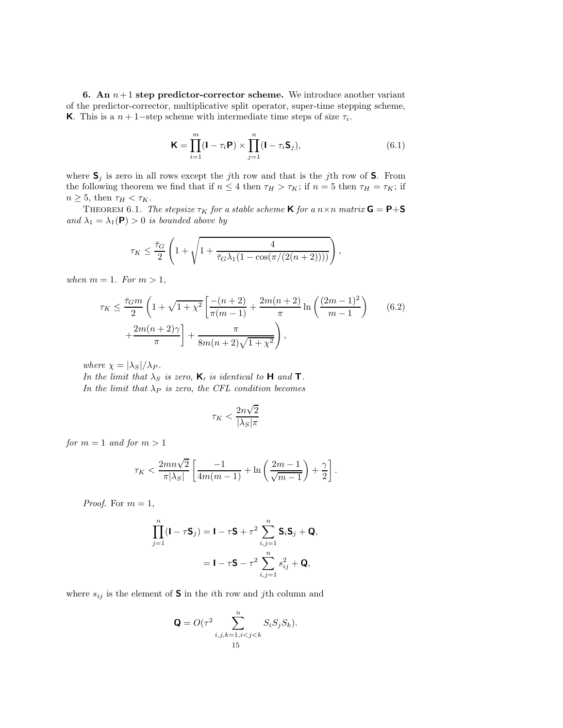**6.** An  $n+1$  **step predictor-corrector scheme.** We introduce another variant of the predictor-corrector, multiplicative split operator, super-time stepping scheme, **K**. This is a  $n + 1$ –step scheme with intermediate time steps of size  $\tau_i$ .

$$
\mathbf{K} = \prod_{i=1}^{m} (\mathbf{I} - \tau_i \mathbf{P}) \times \prod_{j=1}^{n} (\mathbf{I} - \tau_i \mathbf{S}_j),
$$
(6.1)

where  $S_j$  is zero in all rows except the jth row and that is the jth row of S. From the following theorem we find that if  $n \leq 4$  then  $\tau_H > \tau_K$ ; if  $n = 5$  then  $\tau_H = \tau_K$ ; if  $n \geq 5$ , then  $\tau_H < \tau_K$ .

**THEOREM** 6.1. *The stepsize*  $\tau_K$  *for a stable scheme* **K** *for a*  $n \times n$  *matrix* **G** = **P**+**S** *and*  $\lambda_1 = \lambda_1(\mathbf{P}) > 0$  *is bounded above by* 

$$
\tau_K \leq \frac{\bar{\tau}_G}{2} \left( 1 + \sqrt{1 + \frac{4}{\bar{\tau}_G \lambda_1 (1 - \cos(\pi/(2(n+2))))}} \right),
$$

*when*  $m = 1$ *. For*  $m > 1$ *,* 

$$
\tau_K \le \frac{\bar{\tau}_G m}{2} \left( 1 + \sqrt{1 + \chi^2} \left[ \frac{-(n+2)}{\pi (m-1)} + \frac{2m(n+2)}{\pi} \ln \left( \frac{(2m-1)^2}{m-1} \right) \right] + \frac{2m(n+2)\gamma}{\pi} \right] + \frac{\pi}{8m(n+2)\sqrt{1 + \chi^2}} \right),
$$
(6.2)

*where*  $\chi = |\lambda_S|/\lambda_P$ *.* 

*In the limit that*  $\lambda_S$  *is zero,* **K**, *is identical to* **H** *and* **T***. In the limit that*  $\lambda_P$  *is zero, the CFL condition becomes* 

$$
\tau_K < \frac{2n\sqrt{2}}{|\lambda_S|\pi}
$$

*for*  $m = 1$  *and for*  $m > 1$ 

$$
\tau_K < \frac{2mn\sqrt{2}}{\pi|\lambda_S|} \left[ \frac{-1}{4m(m-1)} + \ln\left(\frac{2m-1}{\sqrt{m-1}}\right) + \frac{\gamma}{2} \right].
$$

*Proof.* For  $m = 1$ ,

$$
\prod_{j=1}^{n} (\mathbf{I} - \tau \mathbf{S}_j) = \mathbf{I} - \tau \mathbf{S} + \tau^2 \sum_{i,j=1}^{n} \mathbf{S}_i \mathbf{S}_j + \mathbf{Q},
$$

$$
= \mathbf{I} - \tau \mathbf{S} - \tau^2 \sum_{i,j=1}^{n} s_{ij}^2 + \mathbf{Q},
$$

where  $s_{ij}$  is the element of **S** in the *i*th row and *j*th column and

$$
\mathbf{Q} = O(\tau^2 \sum_{i,j,k=1,i15
$$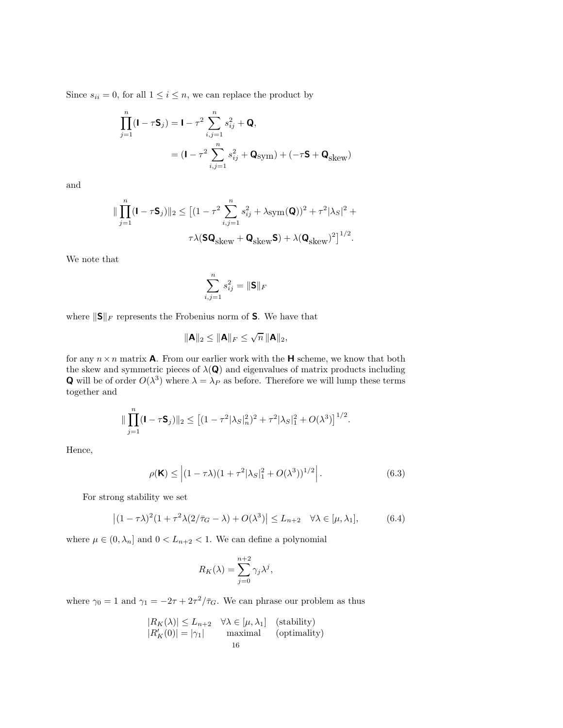Since  $s_{ii} = 0$ , for all  $1 \le i \le n$ , we can replace the product by

$$
\prod_{j=1}^{n} (\mathbf{I} - \tau \mathbf{S}_j) = \mathbf{I} - \tau^2 \sum_{i,j=1}^{n} s_{ij}^2 + \mathbf{Q},
$$
\n
$$
= (\mathbf{I} - \tau^2 \sum_{i,j=1}^{n} s_{ij}^2 + \mathbf{Q}_{sym}) + (-\tau \mathbf{S} + \mathbf{Q}_{skew})
$$

and

$$
\label{eq:3.1} \begin{aligned} \|\prod_{j=1}^n(\mathbf{I}-\tau\mathbf{S}_j)\|_2 &\leq \big[(1-\tau^2\sum_{i,j=1}^n s_{ij}^2+\lambda_{\mbox{sym}}(\mathbf{Q}))^2+\tau^2|\lambda_S|^2+\tau^2|\lambda_S|^2+\tau^2|\lambda_S|^2\big]^{1/2}. \end{aligned}
$$

We note that

$$
\sum_{i,j=1}^n s_{ij}^2 = \|\mathbf{S}\|_F
$$

where  $\|\mathbf{S}\|_F$  represents the Frobenius norm of **S**. We have that

$$
\|\mathbf{A}\|_2 \leq \|\mathbf{A}\|_F \leq \sqrt{n} \, \|\mathbf{A}\|_2,
$$

for any  $n \times n$  matrix **A**. From our earlier work with the **H** scheme, we know that both the skew and symmetric pieces of  $\lambda(Q)$  and eigenvalues of matrix products including **Q** will be of order  $O(\lambda^3)$  where  $\lambda = \lambda_P$  as before. Therefore we will lump these terms together and

$$
\|\prod_{j=1}^n(\mathbf{I}-\tau\mathbf{S}_j)\|_2 \leq \left[(1-\tau^2|\lambda_S|_n^2)^2 + \tau^2|\lambda_S|_1^2 + O(\lambda^3)\right]^{1/2}.
$$

Hence,

$$
\rho(\mathbf{K}) \le |(1 - \tau \lambda)(1 + \tau^2 |\lambda_S|_1^2 + O(\lambda^3))^{1/2} \Big|.
$$
\n(6.3)

For strong stability we set

$$
\left| (1 - \tau \lambda)^2 (1 + \tau^2 \lambda (2/\bar{\tau}_G - \lambda) + O(\lambda^3) \right| \le L_{n+2} \quad \forall \lambda \in [\mu, \lambda_1],\tag{6.4}
$$

where  $\mu \in (0, \lambda_n]$  and  $0 < L_{n+2} < 1$ . We can define a polynomial

$$
R_K(\lambda) = \sum_{j=0}^{n+2} \gamma_j \lambda^j,
$$

where  $\gamma_0 = 1$  and  $\gamma_1 = -2\tau + 2\tau^2/\bar{\tau}_G$ . We can phrase our problem as thus

$$
|R_K(\lambda)| \le L_{n+2} \quad \forall \lambda \in [\mu, \lambda_1] \quad \text{(stability)}|R_K'(0)| = |\gamma_1| \quad \text{maximal} \quad \text{(optimality)}16
$$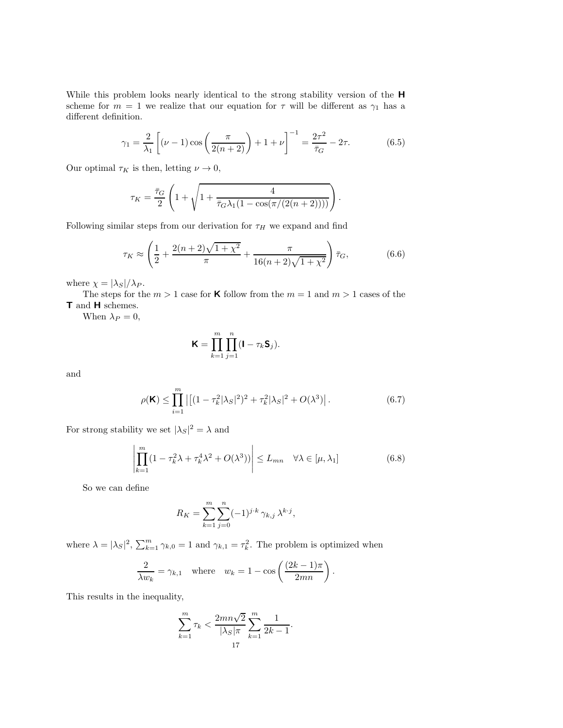While this problem looks nearly identical to the strong stability version of the **H** scheme for  $m = 1$  we realize that our equation for  $\tau$  will be different as  $\gamma_1$  has a different definition.

$$
\gamma_1 = \frac{2}{\lambda_1} \left[ (\nu - 1) \cos \left( \frac{\pi}{2(n+2)} \right) + 1 + \nu \right]^{-1} = \frac{2\tau^2}{\bar{\tau}_G} - 2\tau. \tag{6.5}
$$

Our optimal  $\tau_K$  is then, letting  $\nu \to 0$ ,

$$
\tau_K = \frac{\bar{\tau}_G}{2} \left( 1 + \sqrt{1 + \frac{4}{\bar{\tau}_G \lambda_1 (1 - \cos(\pi/(2(n+2))))}} \right).
$$

Following similar steps from our derivation for  $\tau_H$  we expand and find

$$
\tau_K \approx \left(\frac{1}{2} + \frac{2(n+2)\sqrt{1+\chi^2}}{\pi} + \frac{\pi}{16(n+2)\sqrt{1+\chi^2}}\right)\bar{\tau}_G,\tag{6.6}
$$

where  $\chi = |\lambda_S|/\lambda_P$ .

The steps for the  $m > 1$  case for **K** follow from the  $m = 1$  and  $m > 1$  cases of the **T** and **H** schemes.

When  $\lambda_P = 0$ ,

$$
\mathbf{K} = \prod_{k=1}^m \prod_{j=1}^n (\mathbf{I} - \tau_k \mathbf{S}_j).
$$

and

$$
\rho(\mathbf{K}) \le \prod_{i=1}^{m} \left| \left[ (1 - \tau_k^2 |\lambda_S|^2)^2 + \tau_k^2 |\lambda_S|^2 + O(\lambda^3) \right] \right|.
$$
 (6.7)

For strong stability we set  $|\lambda_S|^2 = \lambda$  and

$$
\left| \prod_{k=1}^{m} (1 - \tau_k^2 \lambda + \tau_k^4 \lambda^2 + O(\lambda^3)) \right| \le L_{mn} \quad \forall \lambda \in [\mu, \lambda_1]
$$
 (6.8)

So we can define

$$
R_K = \sum_{k=1}^{m} \sum_{j=0}^{n} (-1)^{j \cdot k} \gamma_{k,j} \lambda^{k \cdot j},
$$

where  $\lambda = |\lambda_S|^2$ ,  $\sum_{k=1}^m \gamma_{k,0} = 1$  and  $\gamma_{k,1} = \tau_k^2$ . The problem is optimized when

$$
\frac{2}{\lambda w_k} = \gamma_{k,1} \quad \text{where} \quad w_k = 1 - \cos\left(\frac{(2k-1)\pi}{2mn}\right).
$$

This results in the inequality,

$$
\sum_{k=1}^{m} \tau_k < \frac{2mn\sqrt{2}}{|\lambda_S|\pi} \sum_{k=1}^{m} \frac{1}{2k-1}.
$$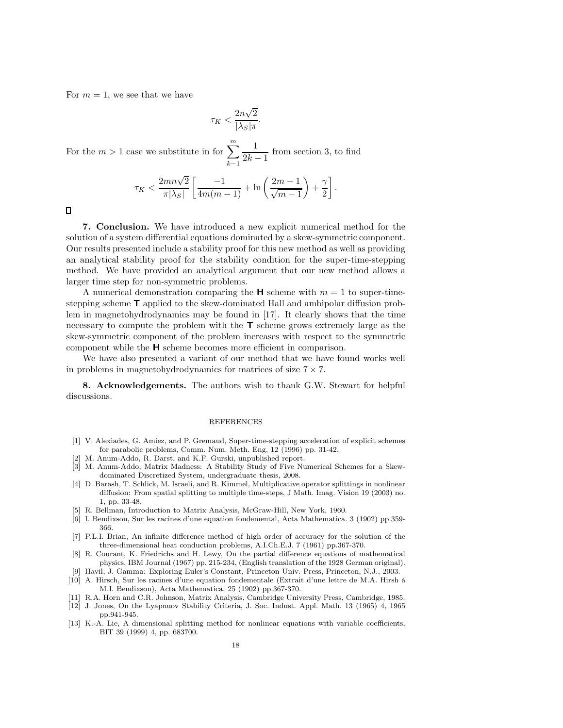For  $m = 1$ , we see that we have

$$
\tau_K < \frac{2n\sqrt{2}}{|\lambda_S|\pi}.
$$

For the  $m > 1$  case we substitute in for  $\sum_{n=1}^{m}$  $k-1$  $\frac{1}{2k-1}$  from section 3, to find

$$
\tau_K < \frac{2mn\sqrt{2}}{\pi|\lambda_S|} \left[ \frac{-1}{4m(m-1)} + \ln\left(\frac{2m-1}{\sqrt{m-1}}\right) + \frac{\gamma}{2} \right].
$$

 $\Box$ 

**7. Conclusion.** We have introduced a new explicit numerical method for the solution of a system differential equations dominated by a skew-symmetric component. Our results presented include a stability proof for this new method as well as providing an analytical stability proof for the stability condition for the super-time-stepping method. We have provided an analytical argument that our new method allows a larger time step for non-symmetric problems.

A numerical demonstration comparing the  $\bf{H}$  scheme with  $m = 1$  to super-timestepping scheme **T** applied to the skew-dominated Hall and ambipolar diffusion problem in magnetohydrodynamics may be found in [17]. It clearly shows that the time necessary to compute the problem with the **T** scheme grows extremely large as the skew-symmetric component of the problem increases with respect to the symmetric component while the **H** scheme becomes more efficient in comparison.

We have also presented a variant of our method that we have found works well in problems in magnetohydrodynamics for matrices of size  $7 \times 7$ .

**8. Acknowledgements.** The authors wish to thank G.W. Stewart for helpful discussions.

#### REFERENCES

- [1] V. Alexiades, G. Amiez, and P. Gremaud, Super-time-stepping acceleration of explicit schemes for parabolic problems, Comm. Num. Meth. Eng, 12 (1996) pp. 31-42.
- [2] M. Anum-Addo, R. Darst, and K.F. Gurski, unpublished report.
- [3] M. Anum-Addo, Matrix Madness: A Stability Study of Five Numerical Schemes for a Skewdominated Discretized System, undergraduate thesis, 2008.
- [4] D. Barash, T. Schlick, M. Israeli, and R. Kimmel, Multiplicative operator splittings in nonlinear diffusion: From spatial splitting to multiple time-steps, J Math. Imag. Vision 19 (2003) no. 1, pp. 33-48.
- [5] R. Bellman, Introduction to Matrix Analysis, McGraw-Hill, New York, 1960.
- [6] I. Bendixson, Sur les racines d'une equation fondemental, Acta Mathematica. 3 (1902) pp.359- 366.
- [7] P.L.I. Brian, An infinite difference method of high order of accuracy for the solution of the three-dimensional heat conduction problems, A.I.Ch.E.J. 7 (1961) pp.367-370.
- [8] R. Courant, K. Friedrichs and H. Lewy, On the partial difference equations of mathematical physics, IBM Journal (1967) pp. 215-234, (English translation of the 1928 German original).
- [9] Havil, J. Gamma: Exploring Euler's Constant, Princeton Univ. Press, Princeton, N.J., 2003. [10] A. Hirsch, Sur les racines d'une equation fondementale (Extrait d'une lettre de M.A. Hirsh à
- M.I. Bendixson), Acta Mathematica. 25 (1902) pp.367-370.
- [11] R.A. Horn and C.R. Johnson, Matrix Analysis, Cambridge University Press, Cambridge, 1985.
- [12] J. Jones, On the Lyapnuov Stability Criteria, J. Soc. Indust. Appl. Math. 13 (1965) 4, 1965 pp.941-945.
- [13] K.-A. Lie, A dimensional splitting method for nonlinear equations with variable coefficients, BIT 39 (1999) 4, pp. 683700.